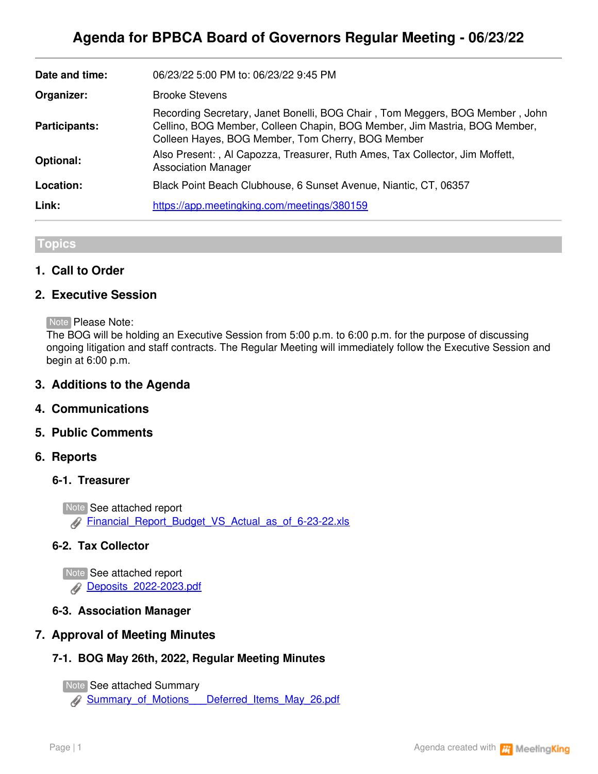| Date and time:       | 06/23/22 5:00 PM to: 06/23/22 9:45 PM                                                                                                                                                                          |
|----------------------|----------------------------------------------------------------------------------------------------------------------------------------------------------------------------------------------------------------|
| Organizer:           | <b>Brooke Stevens</b>                                                                                                                                                                                          |
| <b>Participants:</b> | Recording Secretary, Janet Bonelli, BOG Chair, Tom Meggers, BOG Member, John<br>Cellino, BOG Member, Colleen Chapin, BOG Member, Jim Mastria, BOG Member,<br>Colleen Hayes, BOG Member, Tom Cherry, BOG Member |
| <b>Optional:</b>     | Also Present:, Al Capozza, Treasurer, Ruth Ames, Tax Collector, Jim Moffett,<br><b>Association Manager</b>                                                                                                     |
| Location:            | Black Point Beach Clubhouse, 6 Sunset Avenue, Niantic, CT, 06357                                                                                                                                               |
| Link:                | https://app.meetingking.com/meetings/380159                                                                                                                                                                    |

## **Topics**

## **1. Call to Order**

#### **2. Executive Session**

Note Please Note:

The BOG will be holding an Executive Session from 5:00 p.m. to 6:00 p.m. for the purpose of discussing ongoing litigation and staff contracts. The Regular Meeting will immediately follow the Executive Session and begin at 6:00 p.m.

#### **3. Additions to the Agenda**

#### **4. Communications**

#### **5. Public Comments**

#### **6. Reports**

#### **6-1. Treasurer**

Note See attached report [Financial\\_Report\\_Budget\\_VS\\_Actual\\_as\\_of\\_6-23-22.xls](https://app.meetingking.com/uploads/attachments/256722-Financial_Report_Budget_VS_Actual_as_of_6-23-22-b5d6fd918ac519e46846a2e07af52cc570bb05d2.xls?1655949439)

#### **6-2. Tax Collector**

Note See attached report [Deposits\\_2022-2023.pdf](https://app.meetingking.com/uploads/attachments/256723-Deposits_2022-2023-a980c60d2ac4836e9f0020cd262ece302b13da67.pdf?1655949477)

#### **6-3. Association Manager**

# **7. Approval of Meeting Minutes**

# **7-1. BOG May 26th, 2022, Regular Meeting Minutes**

Note See attached Summary

[Summary\\_of\\_Motions\\_\\_\\_Deferred\\_Items\\_May\\_26.pdf](https://app.meetingking.com/uploads/attachments/256740-Summary_of_Motions___Deferred_Items_May_26-88dc6d7d7f2f7007c21ea13b5600fd49561e7f63.pdf?1655949540)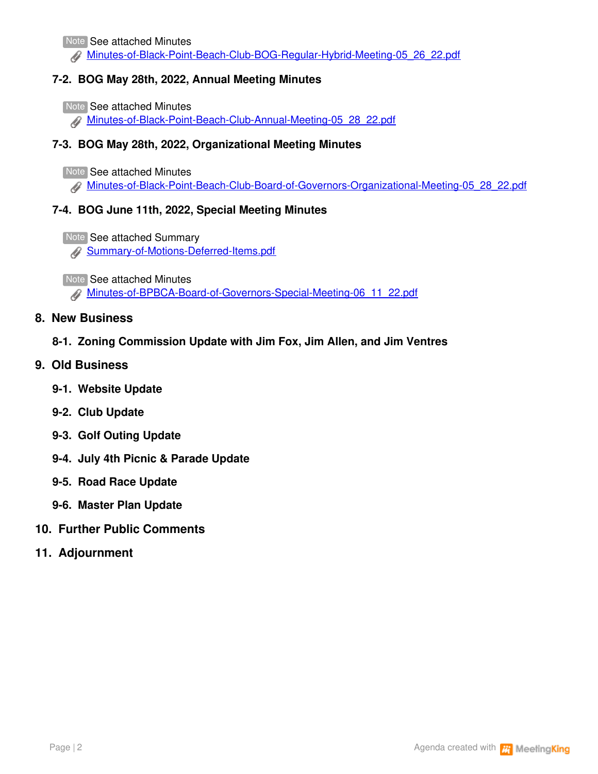Note See attached Minutes

[Minutes-of-Black-Point-Beach-Club-BOG-Regular-Hybrid-Meeting-05\\_26\\_22.pdf](https://app.meetingking.com/uploads/attachments/256741-Minutes-of-Black-Point-Beach-Club-BOG-Regular-Hybrid-Meeting-05_26_22-b73e3592a8cd22cb0db1136088e62b8540b9b86b.pdf?1655949587)

# **7-2. BOG May 28th, 2022, Annual Meeting Minutes**

Note See attached Minutes

[Minutes-of-Black-Point-Beach-Club-Annual-Meeting-05\\_28\\_22.pdf](https://app.meetingking.com/uploads/attachments/256742-Minutes-of-Black-Point-Beach-Club-Annual-Meeting-05_28_22-4a93b0b5713d714e743ded26a8d4e90a32120d08.pdf?1655949634)

# **7-3. BOG May 28th, 2022, Organizational Meeting Minutes**

Note See attached Minutes

[Minutes-of-Black-Point-Beach-Club-Board-of-Governors-Organizational-Meeting-05\\_28\\_22.pdf](https://app.meetingking.com/uploads/attachments/256743-Minutes-of-Black-Point-Beach-Club-Board-of-Governors-Organizational-Meeting-05_28_22-afe5c9a07734f03fba4d8048cb9c622186e8dda4.pdf?1655949669)

## **7-4. BOG June 11th, 2022, Special Meeting Minutes**

Note See attached Summary

**[Summary-of-Motions-Deferred-Items.pdf](https://app.meetingking.com/uploads/attachments/256744-Summary-of-Motions-Deferred-Items-2b40aa3df4b1469b855549bd8522037fb460f903.pdf?1655949715)** 

**Note See attached Minutes** 

[Minutes-of-BPBCA-Board-of-Governors-Special-Meeting-06\\_11\\_22.pdf](https://app.meetingking.com/uploads/attachments/256745-Minutes-of-BPBCA-Board-of-Governors-Special-Meeting-06_11_22-fb8777496ae5f46a58c53fa36b019c7d3ca1525c.pdf?1655949759)

## **8. New Business**

- **8-1. Zoning Commission Update with Jim Fox, Jim Allen, and Jim Ventres**
- **9. Old Business**
	- **9-1. Website Update**
	- **9-2. Club Update**
	- **9-3. Golf Outing Update**
	- **9-4. July 4th Picnic & Parade Update**
	- **9-5. Road Race Update**
	- **9-6. Master Plan Update**
- **10. Further Public Comments**
- **11. Adjournment**